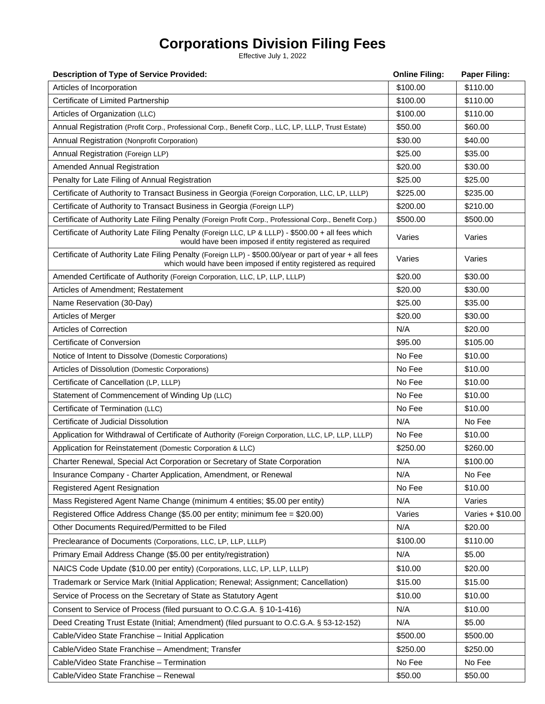# **Corporations Division Filing Fees**

Effective July 1, 2022

| <b>Description of Type of Service Provided:</b>                                                                                                                         | <b>Online Filing:</b> | <b>Paper Filing:</b> |
|-------------------------------------------------------------------------------------------------------------------------------------------------------------------------|-----------------------|----------------------|
| Articles of Incorporation                                                                                                                                               | \$100.00              | \$110.00             |
| Certificate of Limited Partnership                                                                                                                                      | \$100.00              | \$110.00             |
| Articles of Organization (LLC)                                                                                                                                          | \$100.00              | \$110.00             |
| Annual Registration (Profit Corp., Professional Corp., Benefit Corp., LLC, LP, LLLP, Trust Estate)                                                                      | \$50.00               | \$60.00              |
| Annual Registration (Nonprofit Corporation)                                                                                                                             | \$30.00               | \$40.00              |
| Annual Registration (Foreign LLP)                                                                                                                                       | \$25.00               | \$35.00              |
| Amended Annual Registration                                                                                                                                             | \$20.00               | \$30.00              |
| Penalty for Late Filing of Annual Registration                                                                                                                          | \$25.00               | \$25.00              |
| Certificate of Authority to Transact Business in Georgia (Foreign Corporation, LLC, LP, LLLP)                                                                           | \$225.00              | \$235.00             |
| Certificate of Authority to Transact Business in Georgia (Foreign LLP)                                                                                                  | \$200.00              | \$210.00             |
| Certificate of Authority Late Filing Penalty (Foreign Profit Corp., Professional Corp., Benefit Corp.)                                                                  | \$500.00              | \$500.00             |
| Certificate of Authority Late Filing Penalty (Foreign LLC, LP & LLLP) - \$500.00 + all fees which<br>would have been imposed if entity registered as required           | Varies                | Varies               |
| Certificate of Authority Late Filing Penalty (Foreign LLP) - \$500.00/year or part of year + all fees<br>which would have been imposed if entity registered as required | Varies                | Varies               |
| Amended Certificate of Authority (Foreign Corporation, LLC, LP, LLP, LLLP)                                                                                              | \$20.00               | \$30.00              |
| Articles of Amendment; Restatement                                                                                                                                      | \$20.00               | \$30.00              |
| Name Reservation (30-Day)                                                                                                                                               | \$25.00               | \$35.00              |
| Articles of Merger                                                                                                                                                      | \$20.00               | \$30.00              |
| Articles of Correction                                                                                                                                                  | N/A                   | \$20.00              |
| Certificate of Conversion                                                                                                                                               | \$95.00               | \$105.00             |
| Notice of Intent to Dissolve (Domestic Corporations)                                                                                                                    | No Fee                | \$10.00              |
| Articles of Dissolution (Domestic Corporations)                                                                                                                         | No Fee                | \$10.00              |
| Certificate of Cancellation (LP, LLLP)                                                                                                                                  | No Fee                | \$10.00              |
| Statement of Commencement of Winding Up (LLC)                                                                                                                           | No Fee                | \$10.00              |
| Certificate of Termination (LLC)                                                                                                                                        | No Fee                | \$10.00              |
| Certificate of Judicial Dissolution                                                                                                                                     | N/A                   | No Fee               |
| Application for Withdrawal of Certificate of Authority (Foreign Corporation, LLC, LP, LLP, LLLP)                                                                        | No Fee                | \$10.00              |
| Application for Reinstatement (Domestic Corporation & LLC)                                                                                                              | \$250.00              | \$260.00             |
| Charter Renewal, Special Act Corporation or Secretary of State Corporation                                                                                              | N/A                   | \$100.00             |
| Insurance Company - Charter Application, Amendment, or Renewal                                                                                                          | N/A                   | No Fee               |
| <b>Registered Agent Resignation</b>                                                                                                                                     | No Fee                | \$10.00              |
| Mass Registered Agent Name Change (minimum 4 entities; \$5.00 per entity)                                                                                               | N/A                   | Varies               |
| Registered Office Address Change (\$5.00 per entity; minimum fee = \$20.00)                                                                                             | Varies                | Varies + \$10.00     |
| Other Documents Required/Permitted to be Filed                                                                                                                          | N/A                   | \$20.00              |
| Preclearance of Documents (Corporations, LLC, LP, LLP, LLLP)                                                                                                            | \$100.00              | \$110.00             |
| Primary Email Address Change (\$5.00 per entity/registration)                                                                                                           | N/A                   | \$5.00               |
| NAICS Code Update (\$10.00 per entity) (Corporations, LLC, LP, LLP, LLLP)                                                                                               | \$10.00               | \$20.00              |
| Trademark or Service Mark (Initial Application; Renewal; Assignment; Cancellation)                                                                                      | \$15.00               | \$15.00              |
| Service of Process on the Secretary of State as Statutory Agent                                                                                                         | \$10.00               | \$10.00              |
| Consent to Service of Process (filed pursuant to O.C.G.A. § 10-1-416)                                                                                                   | N/A                   | \$10.00              |
| Deed Creating Trust Estate (Initial; Amendment) (filed pursuant to O.C.G.A. § 53-12-152)                                                                                | N/A                   | \$5.00               |
| Cable/Video State Franchise - Initial Application                                                                                                                       | \$500.00              | \$500.00             |
| Cable/Video State Franchise - Amendment; Transfer                                                                                                                       | \$250.00              | \$250.00             |
| Cable/Video State Franchise - Termination                                                                                                                               | No Fee                | No Fee               |
| Cable/Video State Franchise - Renewal                                                                                                                                   | \$50.00               | \$50.00              |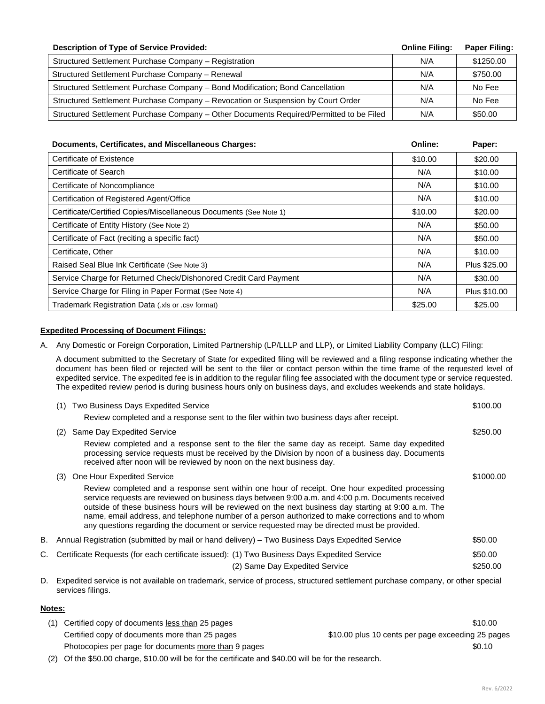| <b>Description of Type of Service Provided:</b>                                         | <b>Online Filing:</b> | <b>Paper Filing:</b> |
|-----------------------------------------------------------------------------------------|-----------------------|----------------------|
| Structured Settlement Purchase Company - Registration                                   | N/A                   | \$1250.00            |
| Structured Settlement Purchase Company - Renewal                                        | N/A                   | \$750.00             |
| Structured Settlement Purchase Company - Bond Modification; Bond Cancellation           | N/A                   | No Fee               |
| Structured Settlement Purchase Company - Revocation or Suspension by Court Order        | N/A                   | No Fee               |
| Structured Settlement Purchase Company - Other Documents Required/Permitted to be Filed | N/A                   | \$50.00              |

| Documents, Certificates, and Miscellaneous Charges:               | Online: | Paper:       |
|-------------------------------------------------------------------|---------|--------------|
| Certificate of Existence                                          | \$10.00 | \$20.00      |
| Certificate of Search                                             | N/A     | \$10.00      |
| Certificate of Noncompliance                                      | N/A     | \$10.00      |
| Certification of Registered Agent/Office                          | N/A     | \$10.00      |
| Certificate/Certified Copies/Miscellaneous Documents (See Note 1) | \$10.00 | \$20.00      |
| Certificate of Entity History (See Note 2)                        | N/A     | \$50.00      |
| Certificate of Fact (reciting a specific fact)                    | N/A     | \$50.00      |
| Certificate, Other                                                | N/A     | \$10.00      |
| Raised Seal Blue Ink Certificate (See Note 3)                     | N/A     | Plus \$25.00 |
| Service Charge for Returned Check/Dishonored Credit Card Payment  | N/A     | \$30.00      |
| Service Charge for Filing in Paper Format (See Note 4)            | N/A     | Plus \$10.00 |
| Trademark Registration Data (xls or .csv format)                  | \$25.00 | \$25.00      |

## **Expedited Processing of Document Filings:**

A. Any Domestic or Foreign Corporation, Limited Partnership (LP/LLLP and LLP), or Limited Liability Company (LLC) Filing:

A document submitted to the Secretary of State for expedited filing will be reviewed and a filing response indicating whether the document has been filed or rejected will be sent to the filer or contact person within the time frame of the requested level of expedited service. The expedited fee is in addition to the regular filing fee associated with the document type or service requested. The expedited review period is during business hours only on business days, and excludes weekends and state holidays.

| (1)                                                                                                                                                   | Two Business Days Expedited Service                                                                                                                                                                                                                                                                                                                                                                                                                                                                           | \$100.00  |
|-------------------------------------------------------------------------------------------------------------------------------------------------------|---------------------------------------------------------------------------------------------------------------------------------------------------------------------------------------------------------------------------------------------------------------------------------------------------------------------------------------------------------------------------------------------------------------------------------------------------------------------------------------------------------------|-----------|
|                                                                                                                                                       | Review completed and a response sent to the filer within two business days after receipt.                                                                                                                                                                                                                                                                                                                                                                                                                     |           |
| (2)                                                                                                                                                   | Same Day Expedited Service                                                                                                                                                                                                                                                                                                                                                                                                                                                                                    | \$250.00  |
|                                                                                                                                                       | Review completed and a response sent to the filer the same day as receipt. Same day expedited<br>processing service requests must be received by the Division by noon of a business day. Documents<br>received after noon will be reviewed by noon on the next business day.                                                                                                                                                                                                                                  |           |
| (3)                                                                                                                                                   | One Hour Expedited Service                                                                                                                                                                                                                                                                                                                                                                                                                                                                                    | \$1000.00 |
|                                                                                                                                                       | Review completed and a response sent within one hour of receipt. One hour expedited processing<br>service requests are reviewed on business days between 9:00 a.m. and 4:00 p.m. Documents received<br>outside of these business hours will be reviewed on the next business day starting at 9:00 a.m. The<br>name, email address, and telephone number of a person authorized to make corrections and to whom<br>any questions regarding the document or service requested may be directed must be provided. |           |
|                                                                                                                                                       | B. Annual Registration (submitted by mail or hand delivery) – Two Business Days Expedited Service                                                                                                                                                                                                                                                                                                                                                                                                             | \$50.00   |
|                                                                                                                                                       | C. Certificate Requests (for each certificate issued): (1) Two Business Days Expedited Service                                                                                                                                                                                                                                                                                                                                                                                                                | \$50.00   |
|                                                                                                                                                       | (2) Same Day Expedited Service                                                                                                                                                                                                                                                                                                                                                                                                                                                                                | \$250.00  |
| D. Expedited service is not available on trademark, service of process, structured settlement purchase company, or other special<br>services filings. |                                                                                                                                                                                                                                                                                                                                                                                                                                                                                                               |           |

### **Notes:**

| (1) Certified copy of documents less than 25 pages               | \$10.00                                           |
|------------------------------------------------------------------|---------------------------------------------------|
| Certified copy of documents more than 25 pages                   | \$10.00 plus 10 cents per page exceeding 25 pages |
| Photocopies per page for documents more than 9 pages             | \$0.10                                            |
| $\sim$ $\sim$ $\sim$ $\sim$ $\sim$ $\sim$ $\sim$<br>$\mathbf{r}$ |                                                   |

(2) Of the \$50.00 charge, \$10.00 will be for the certificate and \$40.00 will be for the research.